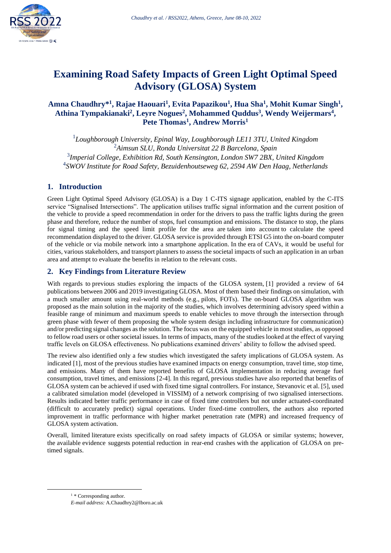

# **Examining Road Safety Impacts of Green Light Optimal Speed Advisory (GLOSA) System**

# **Amna Chaudhry\* 1 , Rajae Haouari<sup>1</sup> , Evita Papazikou<sup>1</sup> , Hua Sha<sup>1</sup> , Mohit Kumar Singh<sup>1</sup> , Athina Tympakianaki<sup>2</sup> , Leyre Nogues<sup>2</sup> , Mohammed Quddus<sup>3</sup> , Wendy Weijermars 4 , Pete Thomas<sup>1</sup> , Andrew Morris<sup>1</sup>**

*Loughborough University, Epinal Way, Loughborough LE11 3TU, United Kingdom Aimsun SLU, Ronda Universitat 22 B Barcelona, Spain Imperial College, Exhibition Rd, South Kensington, London SW7 2BX, United Kingdom SWOV Institute for Road Safety, Bezuidenhoutseweg 62, 2594 AW Den Haag, Netherlands*

# **1. Introduction**

Green Light Optimal Speed Advisory (GLOSA) is a Day 1 C-ITS signage application, enabled by the C-ITS service "Signalised Intersections". The application utilises traffic signal information and the current position of the vehicle to provide a speed recommendation in order for the drivers to pass the traffic lights during the green phase and therefore, reduce the number of stops, fuel consumption and emissions. The distance to stop, the plans for signal timing and the speed limit profile for the area are taken into account to calculate the speed recommendation displayed to the driver. GLOSA service is provided through ETSI G5 into the on-board computer of the vehicle or via mobile network into a smartphone application. In the era of CAVs, it would be useful for cities, various stakeholders, and transport planners to assess the societal impacts of such an application in an urban area and attempt to evaluate the benefits in relation to the relevant costs.

# **2. Key Findings from Literature Review**

With regards to previous studies exploring the impacts of the GLOSA system, [1] provided a review of 64 publications between 2006 and 2019 investigating GLOSA. Most of them based their findings on simulation, with a much smaller amount using real-world methods (e.g., pilots, FOTs). The on-board GLOSA algorithm was proposed as the main solution in the majority of the studies, which involves determining advisory speed within a feasible range of minimum and maximum speeds to enable vehicles to move through the intersection through green phase with fewer of them proposing the whole system design including infrastructure for communication) and/or predicting signal changes as the solution. The focus was on the equipped vehicle in most studies, as opposed to fellow road users or other societal issues. In terms of impacts, many of the studies looked at the effect of varying traffic levels on GLOSA effectiveness. No publications examined drivers' ability to follow the advised speed.

The review also identified only a few studies which investigated the safety implications of GLOSA system. As indicated [1], most of the previous studies have examined impacts on energy consumption, travel time, stop time, and emissions. Many of them have reported benefits of GLOSA implementation in reducing average fuel consumption, travel times, and emissions [2-4]. In this regard, previous studies have also reported that benefits of GLOSA system can be achieved if used with fixed time signal controllers. For instance, Stevanovic et al. [5], used a calibrated simulation model (developed in VISSIM) of a network comprising of two signalised intersections. Results indicated better traffic performance in case of fixed time controllers but not under actuated-coordinated (difficult to accurately predict) signal operations. Under fixed-time controllers, the authors also reported improvement in traffic performance with higher market penetration rate (MPR) and increased frequency of GLOSA system activation.

Overall, limited literature exists specifically on road safety impacts of GLOSA or similar systems; however, the available evidence suggests potential reduction in rear-end crashes with the application of GLOSA on pretimed signals.

 $1 *$  Corresponding author.

*E-mail address:* A.Chaudhry2@lboro.ac.uk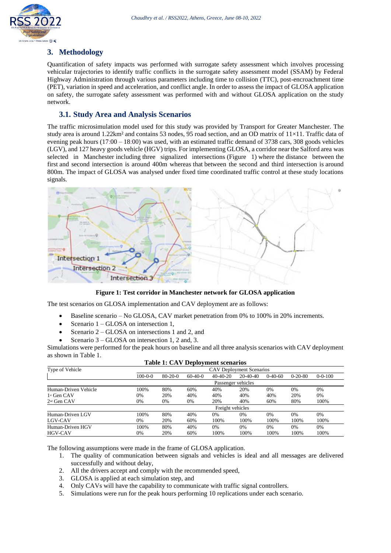

# **3. Methodology**

Quantification of safety impacts was performed with surrogate safety assessment which involves processing vehicular trajectories to identify traffic conflicts in the surrogate safety assessment model (SSAM) by Federal Highway Administration through various parameters including time to collision (TTC), post-encroachment time (PET), variation in speed and acceleration, and conflict angle. In order to assess the impact of GLOSA application on safety, the surrogate safety assessment was performed with and without GLOSA application on the study network.

### **3.1. Study Area and Analysis Scenarios**

The traffic microsimulation model used for this study was provided by Transport for Greater Manchester. The study area is around 1.22km<sup>2</sup> and contains 53 nodes, 95 road section, and an OD matrix of  $11\times11$ . Traffic data of evening peak hours (17:00 – 18:00) was used, with an estimated traffic demand of 3738 cars, 308 goods vehicles (LGV), and 127 heavy goods vehicle (HGV) trips. For implementing GLOSA, a corridor near the Salford area was selected in Manchester including three signalized intersections (Figure 1) where the distance between the first and second intersection is around 400m whereas that between the second and third intersection is around 800m. The impact of GLOSA was analysed under fixed time coordinated traffic control at these study locations signals.



**Figure 1: Test corridor in Manchester network for GLOSA application**

The test scenarios on GLOSA implementation and CAV deployment are as follows:

- Baseline scenario No GLOSA, CAV market penetration from 0% to 100% in 20% increments.
- Scenario 1 GLOSA on intersection 1,
- Scenario 2 GLOSA on intersections 1 and 2, and
- Scenario 3 GLOSA on intersection 1, 2 and, 3.

Simulations were performed for the peak hours on baseline and all three analysis scenarios with CAV deployment as shown in Table 1.

| Tuble 1. C.1. Beeplogment becausing |                                 |               |           |            |            |           |               |               |
|-------------------------------------|---------------------------------|---------------|-----------|------------|------------|-----------|---------------|---------------|
| Type of Vehicle                     | <b>CAV Deployment Scenarios</b> |               |           |            |            |           |               |               |
|                                     | $100 - 0 - 0$                   | $80 - 20 - 0$ | $60-40-0$ | $40-40-20$ | $20-40-40$ | $0-40-60$ | $0 - 20 - 80$ | $0 - 0 - 100$ |
|                                     | Passenger vehicles              |               |           |            |            |           |               |               |
| Human-Driven Vehicle                | 100%                            | 80%           | 60%       | 40%        | 20%        | 0%        | 0%            | 0%            |
| $1st$ Gen CAV                       | 0%                              | 20%           | 40%       | 40%        | 40%        | 40%       | 20%           | 0%            |
| 2 <sup>nd</sup> Gen CAV             | 0%                              | 0%            | 0%        | 20%        | 40%        | 60%       | 80%           | 100%          |
|                                     | Freight vehicles                |               |           |            |            |           |               |               |
| Human-Driven LGV                    | 100%                            | 80%           | 40%       | $0\%$      | 0%         | 0%        | 0%            | 0%            |
| LGV-CAV                             | 0%                              | 20%           | 60%       | 100%       | 100%       | 100%      | 100%          | 100%          |
| Human-Driven HGV                    | 100%                            | 80%           | 40%       | $0\%$      | $0\%$      | 0%        | 0%            | $0\%$         |
| <b>HGV-CAV</b>                      | 0%                              | 20%           | 60%       | 100%       | 100%       | 100%      | 100%          | 100%          |
|                                     |                                 |               |           |            |            |           |               |               |

#### **Table 1: CAV Deployment scenarios**

The following assumptions were made in the frame of GLOSA application.

- 1. The quality of communication between signals and vehicles is ideal and all messages are delivered successfully and without delay,
- 2. All the drivers accept and comply with the recommended speed,
- 3. GLOSA is applied at each simulation step, and
- 4. Only CAVs will have the capability to communicate with traffic signal controllers.
- 5. Simulations were run for the peak hours performing 10 replications under each scenario.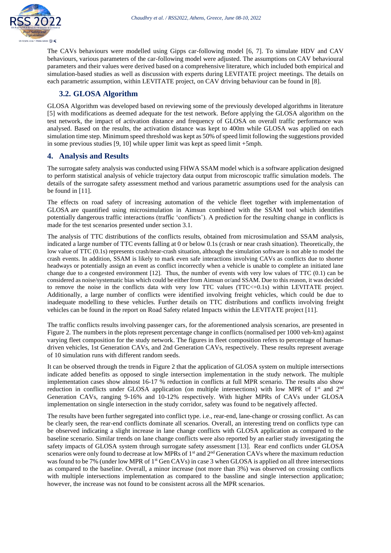

The CAVs behaviours were modelled using Gipps car-following model [6, 7]. To simulate HDV and CAV behaviours, various parameters of the car-following model were adjusted. The assumptions on CAV behavioural parameters and their values were derived based on a comprehensive literature, which included both empirical and simulation-based studies as well as discussion with experts during LEVITATE project meetings. The details on each parametric assumption, within LEVITATE project, on CAV driving behaviour can be found in [8].

# **3.2. GLOSA Algorithm**

GLOSA Algorithm was developed based on reviewing some of the previously developed algorithms in literature [5] with modifications as deemed adequate for the test network. Before applying the GLOSA algorithm on the test network, the impact of activation distance and frequency of GLOSA on overall traffic performance was analysed. Based on the results, the activation distance was kept to 400m while GLOSA was applied on each simulation time step. Minimum speed threshold was kept as 50% of speed limit following the suggestions provided in some previous studies [9, 10] while upper limit was kept as speed limit +5mph.

### **4. Analysis and Results**

The surrogate safety analysis was conducted using FHWA SSAM model which is a software application designed to perform statistical analysis of vehicle trajectory data output from microscopic traffic simulation models. The details of the surrogate safety assessment method and various parametric assumptions used for the analysis can be found in [11].

The effects on road safety of increasing automation of the vehicle fleet together with implementation of GLOSA are quantified using microsimulation in Aimsun combined with the SSAM tool which identifies potentially dangerous traffic interactions (traffic 'conflicts'). A prediction for the resulting change in conflicts is made for the test scenarios presented under section 3.1.

The analysis of TTC distributions of the conflicts results, obtained from microsimulation and SSAM analysis, indicated a large number of TTC events falling at 0 or below 0.1s (crash or near crash situation). Theoretically, the low value of TTC (0.1s) represents crash/near-crash situation, although the simulation software is not able to model the crash events. In addition, SSAM is likely to mark even safe interactions involving CAVs as conflicts due to shorter headways or potentially assign an event as conflict incorrectly when a vehicle is unable to complete an initiated lane change due to a congested environment [12]. Thus, the number of events with very low values of TTC (0.1) can be considered as noise/systematic bias which could be either from Aimsun or/and SSAM. Due to this reason, it was decided to remove the noise in the conflicts data with very low TTC values (TTC <= 0.1s) within LEVITATE project. Additionally, a large number of conflicts were identified involving freight vehicles, which could be due to inadequate modelling to these vehicles. Further details on TTC distributions and conflicts involving freight vehicles can be found in the report on Road Safety related Impacts within the LEVITATE project [11].

The traffic conflicts results involving passenger cars, for the aforementioned analysis scenarios, are presented in Figure 2. The numbers in the plots represent percentage change in conflicts (normalised per 1000 veh-km) against varying fleet composition for the study network. The figures in fleet composition refers to percentage of humandriven vehicles, 1st Generation CAVs, and 2nd Generation CAVs, respectively. These results represent average of 10 simulation runs with different random seeds.

It can be observed through the trends in Figure 2 that the application of GLOSA system on multiple intersections indicate added benefits as opposed to single intersection implementation in the study network. The multiple implementation cases show almost 16-17 % reduction in conflicts at full MPR scenario. The results also show reduction in conflicts under GLOSA application (on multiple intersections) with low MPR of 1<sup>st</sup> and 2<sup>nd</sup> Generation CAVs, ranging 9-16% and 10-12% respectively. With higher MPRs of CAVs under GLOSA implementation on single intersection in the study corridor, safety was found to be negatively affected.

The results have been further segregated into conflict type. i.e., rear-end, lane-change or crossing conflict. As can be clearly seen, the rear-end conflicts dominate all scenarios. Overall, an interesting trend on conflicts type can be observed indicating a slight increase in lane change conflicts with GLOSA application as compared to the baseline scenario. Similar trends on lane change conflicts were also reported by an earlier study investigating the safety impacts of GLOSA system through surrogate safety assessment [13]. Rear end conflicts under GLOSA scenarios were only found to decrease at low MPRs of 1<sup>st</sup> and 2<sup>nd</sup> Generation CAVs where the maximum reduction was found to be 7% (under low MPR of 1<sup>st</sup> Gen CAVs) in case 3 when GLOSA is applied on all three intersections as compared to the baseline. Overall, a minor increase (not more than 3%) was observed on crossing conflicts with multiple intersections implementation as compared to the bassline and single intersection application; however, the increase was not found to be consistent across all the MPR scenarios.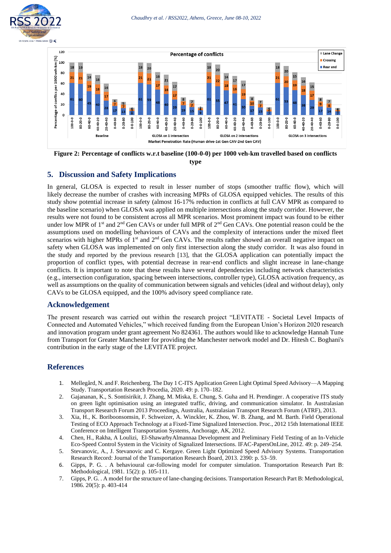



**Figure 2: Percentage of conflicts w.r.t baseline (100-0-0) per 1000 veh-km travelled based on conflicts type**

### **5. Discussion and Safety Implications**

In general, GLOSA is expected to result in lesser number of stops (smoother traffic flow), which will likely decrease the number of crashes with increasing MPRs of GLOSA equipped vehicles. The results of this study show potential increase in safety (almost 16-17% reduction in conflicts at full CAV MPR as compared to the baseline scenario) when GLOSA was applied on multiple intersections along the study corridor. However, the results were not found to be consistent across all MPR scenarios. Most prominent impact was found to be either under low MPR of 1<sup>st</sup> and 2<sup>nd</sup> Gen CAVs or under full MPR of 2<sup>nd</sup> Gen CAVs. One potential reason could be the assumptions used on modelling behaviours of CAVs and the complexity of interactions under the mixed fleet scenarios with higher MPRs of 1<sup>st</sup> and 2<sup>nd</sup> Gen CAVs. The results rather showed an overall negative impact on safety when GLOSA was implemented on only first intersection along the study corridor. It was also found in the study and reported by the previous research [13], that the GLOSA application can potentially impact the proportion of conflict types, with potential decrease in rear-end conflicts and slight increase in lane-change conflicts. It is important to note that these results have several dependencies including network characteristics (e.g., intersection configuration, spacing between intersections, controller type), GLOSA activation frequency, as well as assumptions on the quality of communication between signals and vehicles (ideal and without delay), only CAVs to be GLOSA equipped, and the 100% advisory speed compliance rate.

### **Acknowledgement**

The present research was carried out within the research project "LEVITATE - Societal Level Impacts of Connected and Automated Vehicles," which received funding from the European Union's Horizon 2020 research and innovation program under grant agreement No 824361. The authors would like to acknowledge Hannah Tune from Transport for Greater Manchester for providing the Manchester network model and Dr. Hitesh C. Boghani's contribution in the early stage of the LEVITATE project.

### **References**

- 1. Mellegård, N. and F. Reichenberg. The Day 1 C-ITS Application Green Light Optimal Speed Advisory—A Mapping Study. Transportation Research Procedia, 2020. 49: p. 170–182.
- 2. Gajananan, K., S. Sontisirikit, J. Zhang, M. Miska, E. Chung, S. Guha and H. Prendinger. A cooperative ITS study on green light optimisation using an integrated traffic, driving, and communication simulator. In Australasian Transport Research Forum 2013 Proceedings, Australia, Australasian Transport Research Forum (ATRF), 2013.
- 3. Xia, H., K. Boriboonsomsin, F. Schweizer, A. Winckler, K. Zhou, W. B. Zhang, and M. Barth. Field Operational Testing of ECO Approach Technology at a Fixed-Time Signalized Intersection. Proc., 2012 15th International IEEE Conference on Intelligent Transportation Systems, Anchorage, AK, 2012.
- 4. Chen, H., Rakha, A Loulizi, El-ShawarbyAlmannaa Development and Preliminary Field Testing of an In-Vehicle Eco-Speed Control System in the Vicinity of Signalized Intersections. IFAC-PapersOnLine, 2012. 49: p. 249–254.
- 5. Stevanovic, A., J. Stevanovic and C. Kergaye. Green Light Optimized Speed Advisory Systems. Transportation Research Record: Journal of the Transportation Research Board, 2013. 2390: p. 53–59.
- 6. Gipps, P. G. . A behavioural car-following model for computer simulation. Transportation Research Part B: Methodological, 1981. 15(2): p. 105-111.
- 7. Gipps, P. G. . A model for the structure of lane-changing decisions. Transportation Research Part B: Methodological, 1986. 20(5): p. 403-414